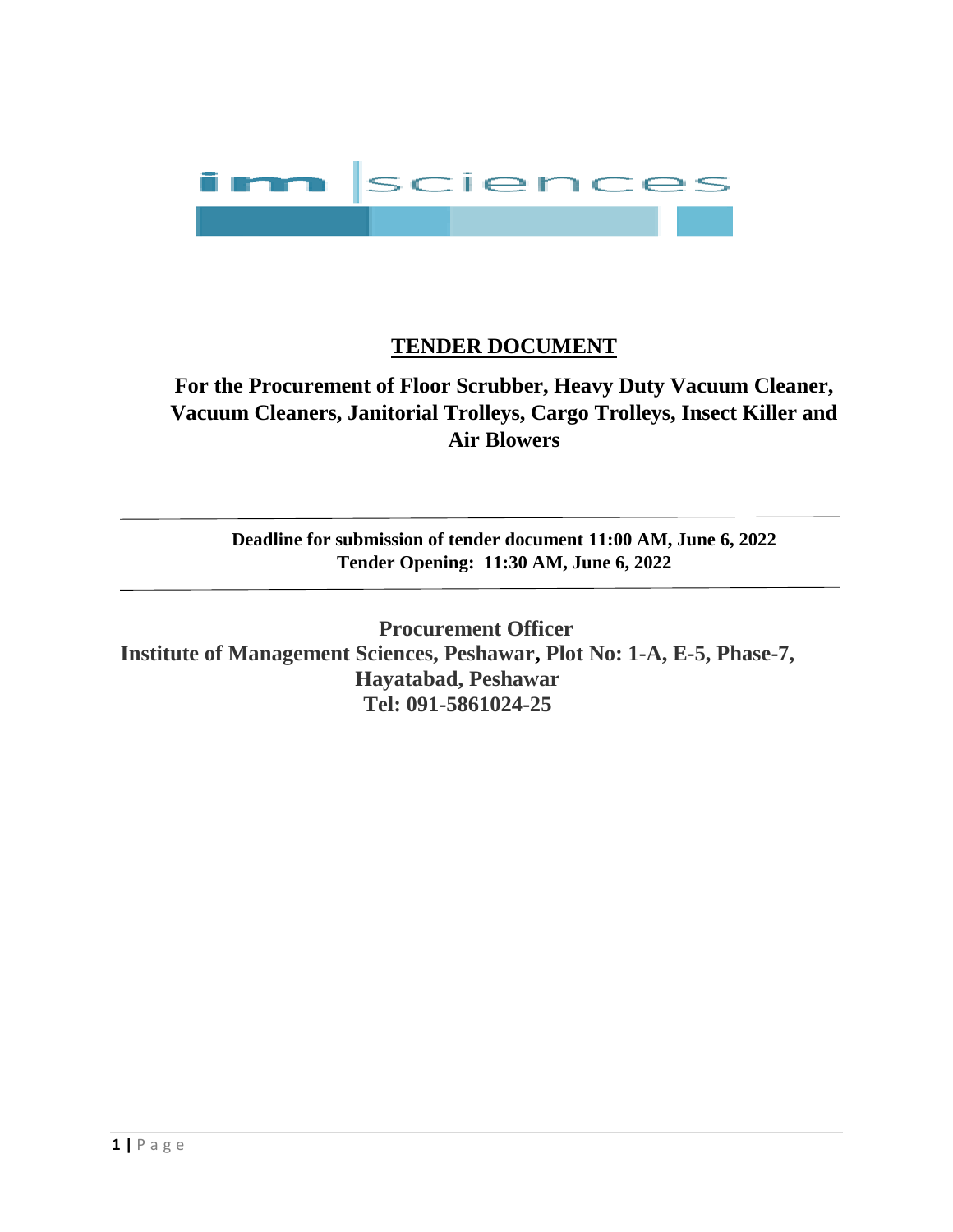

# **TENDER DOCUMENT**

**For the Procurement of Floor Scrubber, Heavy Duty Vacuum Cleaner, Vacuum Cleaners, Janitorial Trolleys, Cargo Trolleys, Insect Killer and Air Blowers**

**Deadline for submission of tender document 11:00 AM, June 6, 2022 Tender Opening: 11:30 AM, June 6, 2022**

**Procurement Officer Institute of Management Sciences, Peshawar, Plot No: 1-A, E-5, Phase-7, Hayatabad, Peshawar Tel: 091-5861024-25**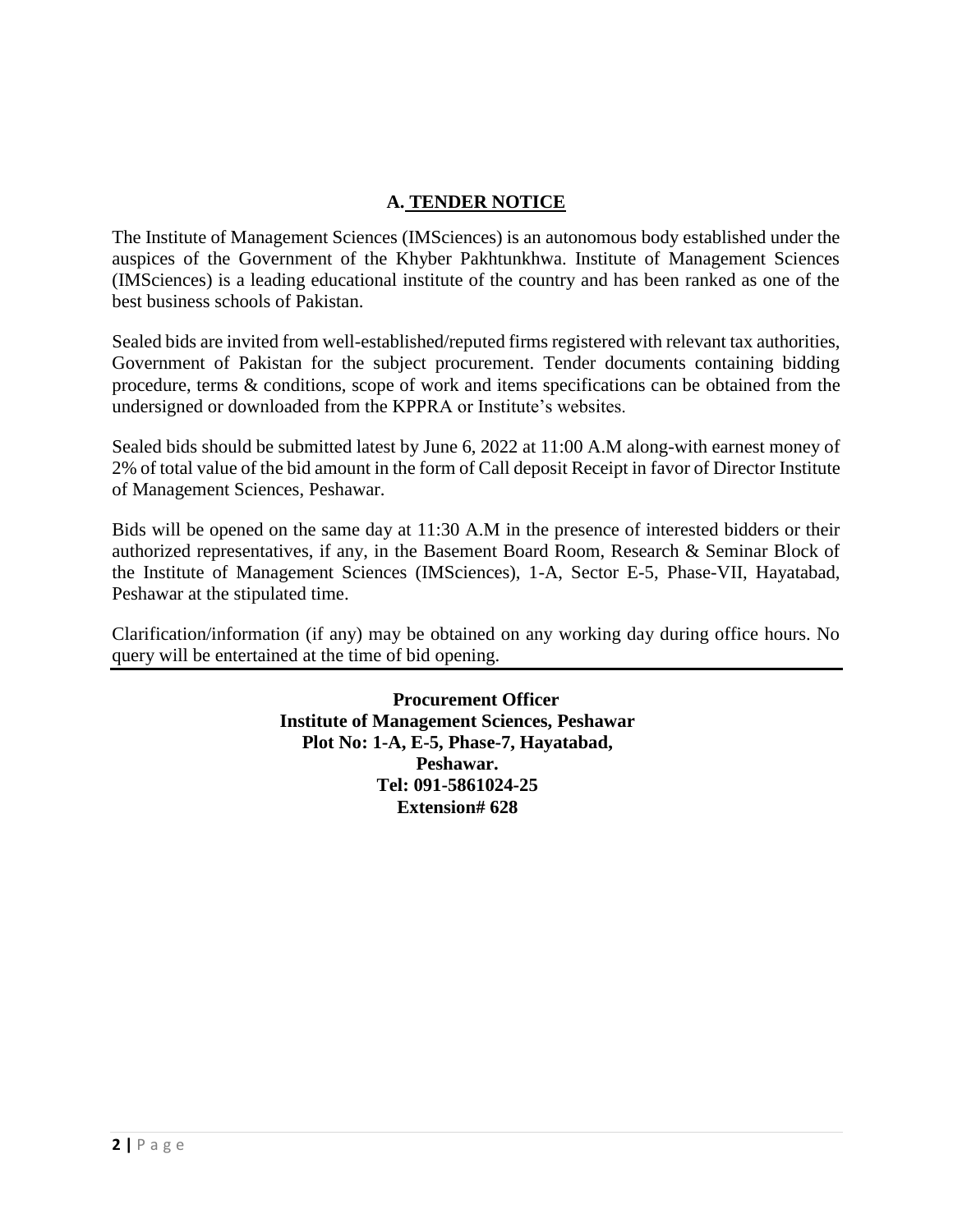### **A. TENDER NOTICE**

The Institute of Management Sciences (IMSciences) is an autonomous body established under the auspices of the Government of the Khyber Pakhtunkhwa. Institute of Management Sciences (IMSciences) is a leading educational institute of the country and has been ranked as one of the best business schools of Pakistan.

Sealed bids are invited from well-established/reputed firms registered with relevant tax authorities, Government of Pakistan for the subject procurement. Tender documents containing bidding procedure, terms & conditions, scope of work and items specifications can be obtained from the undersigned or downloaded from the KPPRA or Institute's websites.

Sealed bids should be submitted latest by June 6, 2022 at 11:00 A.M along-with earnest money of 2% of total value of the bid amount in the form of Call deposit Receipt in favor of Director Institute of Management Sciences, Peshawar.

Bids will be opened on the same day at 11:30 A.M in the presence of interested bidders or their authorized representatives, if any, in the Basement Board Room, Research & Seminar Block of the Institute of Management Sciences (IMSciences), 1-A, Sector E-5, Phase-VII, Hayatabad, Peshawar at the stipulated time.

Clarification/information (if any) may be obtained on any working day during office hours. No query will be entertained at the time of bid opening.

> **Procurement Officer Institute of Management Sciences, Peshawar Plot No: 1-A, E-5, Phase-7, Hayatabad, Peshawar. Tel: 091-5861024-25 Extension# 628**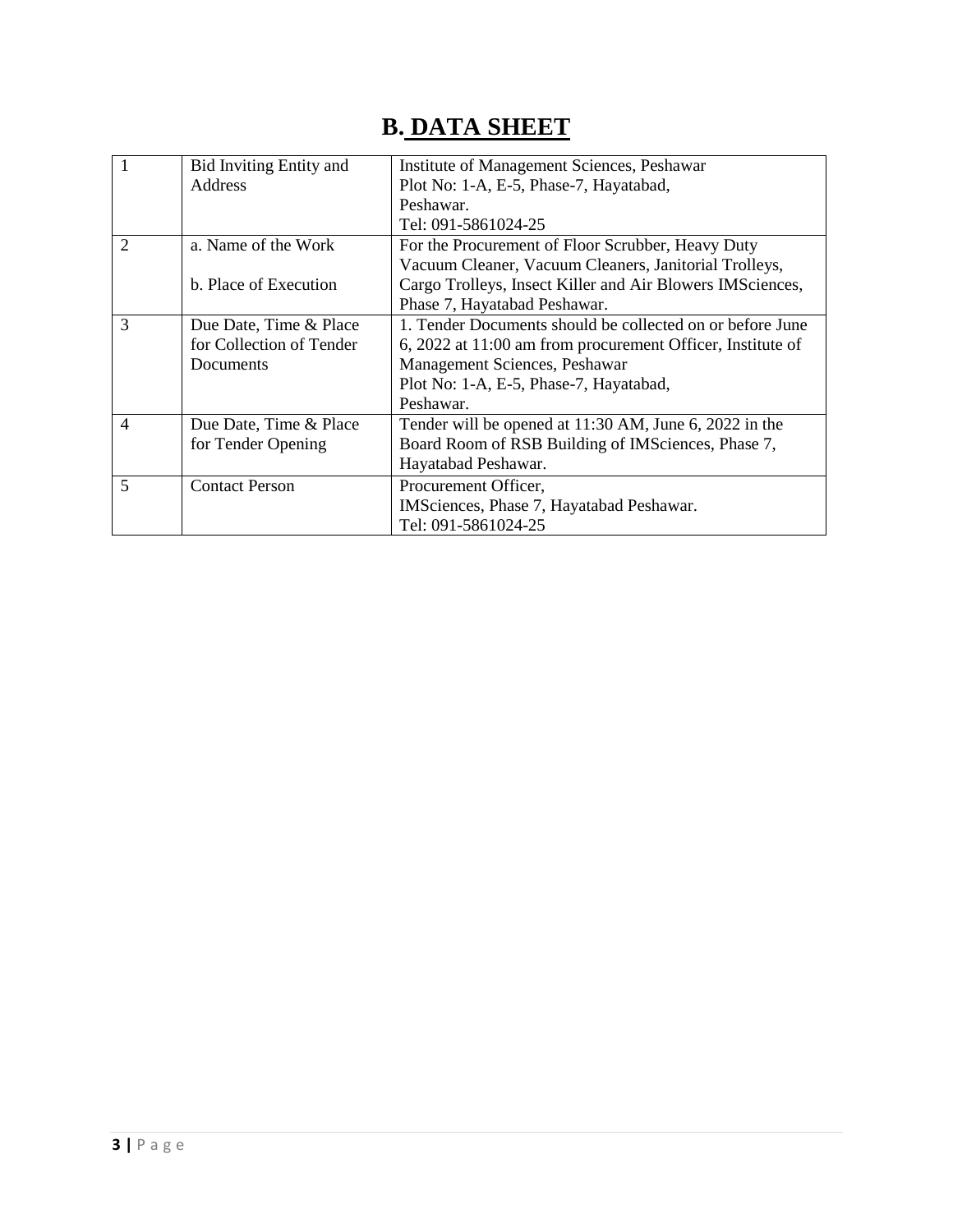# **B. DATA SHEET**

| $\overline{1}$ | <b>Bid Inviting Entity and</b> | Institute of Management Sciences, Peshawar                 |  |  |
|----------------|--------------------------------|------------------------------------------------------------|--|--|
|                | Address                        | Plot No: 1-A, E-5, Phase-7, Hayatabad,                     |  |  |
|                |                                | Peshawar.                                                  |  |  |
|                |                                | Tel: 091-5861024-25                                        |  |  |
| $\overline{2}$ | a. Name of the Work            | For the Procurement of Floor Scrubber, Heavy Duty          |  |  |
|                |                                | Vacuum Cleaner, Vacuum Cleaners, Janitorial Trolleys,      |  |  |
|                | b. Place of Execution          | Cargo Trolleys, Insect Killer and Air Blowers IMSciences,  |  |  |
|                |                                | Phase 7, Hayatabad Peshawar.                               |  |  |
| 3              | Due Date, Time & Place         | 1. Tender Documents should be collected on or before June  |  |  |
|                | for Collection of Tender       | 6, 2022 at 11:00 am from procurement Officer, Institute of |  |  |
|                | Documents                      | Management Sciences, Peshawar                              |  |  |
|                |                                | Plot No: 1-A, E-5, Phase-7, Hayatabad,                     |  |  |
|                |                                | Peshawar.                                                  |  |  |
| $\overline{4}$ | Due Date, Time & Place         | Tender will be opened at 11:30 AM, June 6, 2022 in the     |  |  |
|                | for Tender Opening             | Board Room of RSB Building of IMSciences, Phase 7,         |  |  |
|                |                                | Hayatabad Peshawar.                                        |  |  |
| 5              | <b>Contact Person</b>          | Procurement Officer,                                       |  |  |
|                |                                | IMSciences, Phase 7, Hayatabad Peshawar.                   |  |  |
|                |                                | Tel: 091-5861024-25                                        |  |  |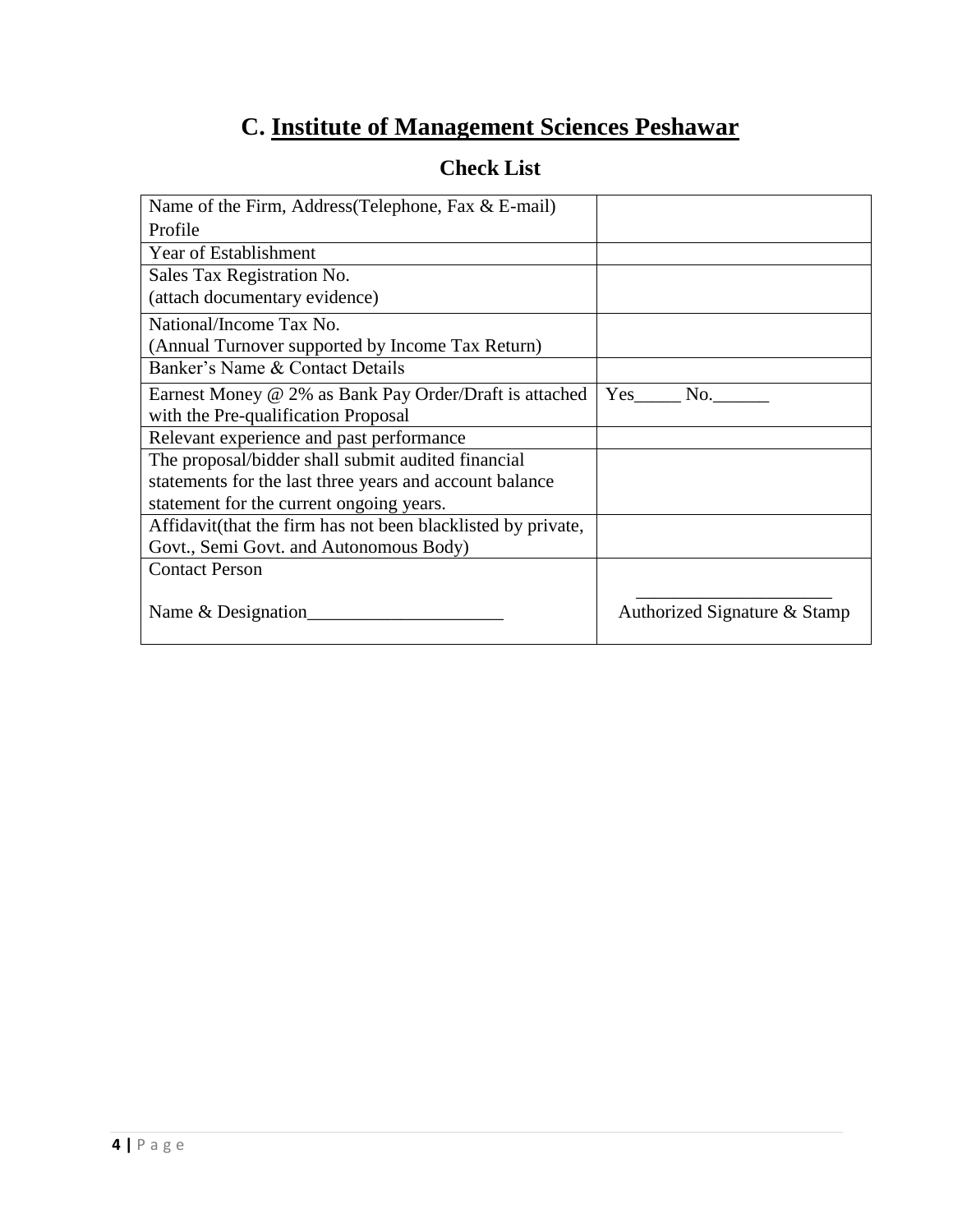# **C. Institute of Management Sciences Peshawar**

| Name of the Firm, Address (Telephone, Fax $&$ E-mail)         |                              |
|---------------------------------------------------------------|------------------------------|
| Profile                                                       |                              |
| <b>Year of Establishment</b>                                  |                              |
| Sales Tax Registration No.                                    |                              |
| (attach documentary evidence)                                 |                              |
| National/Income Tax No.                                       |                              |
| (Annual Turnover supported by Income Tax Return)              |                              |
| Banker's Name & Contact Details                               |                              |
| Earnest Money @ 2% as Bank Pay Order/Draft is attached        | Yes<br>No.                   |
| with the Pre-qualification Proposal                           |                              |
| Relevant experience and past performance                      |                              |
| The proposal/bidder shall submit audited financial            |                              |
| statements for the last three years and account balance       |                              |
| statement for the current ongoing years.                      |                              |
| Affidavit (that the firm has not been blacklisted by private, |                              |
| Govt., Semi Govt. and Autonomous Body)                        |                              |
| <b>Contact Person</b>                                         |                              |
| Name & Designation                                            | Authorized Signature & Stamp |

# **Check List**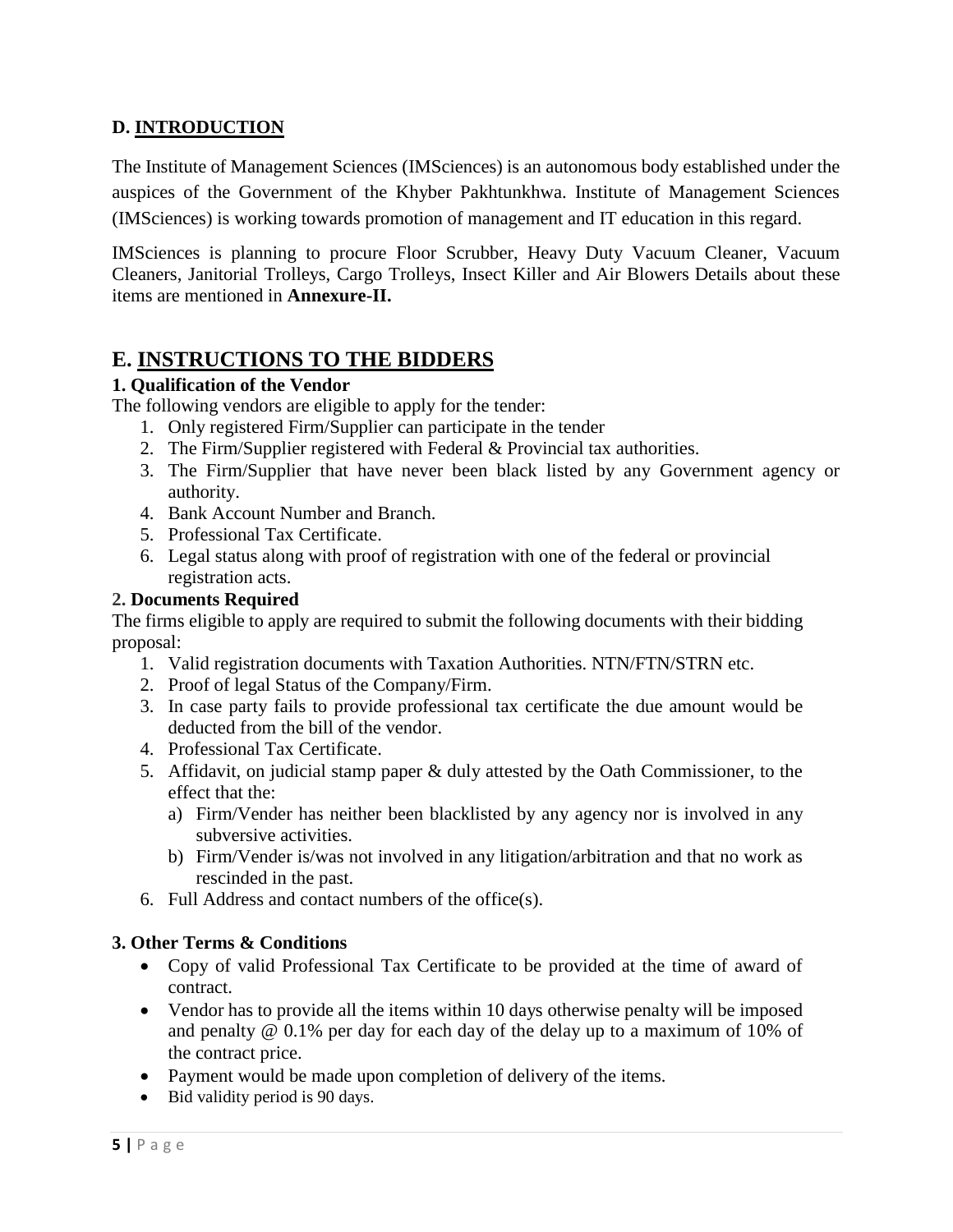### **D. INTRODUCTION**

The Institute of Management Sciences (IMSciences) is an autonomous body established under the auspices of the Government of the Khyber Pakhtunkhwa. Institute of Management Sciences (IMSciences) is working towards promotion of management and IT education in this regard.

IMSciences is planning to procure Floor Scrubber, Heavy Duty Vacuum Cleaner, Vacuum Cleaners, Janitorial Trolleys, Cargo Trolleys, Insect Killer and Air Blowers Details about these items are mentioned in **Annexure-II.**

# **E. INSTRUCTIONS TO THE BIDDERS**

### **1. Qualification of the Vendor**

The following vendors are eligible to apply for the tender:

- 1. Only registered Firm/Supplier can participate in the tender
- 2. The Firm/Supplier registered with Federal & Provincial tax authorities.
- 3. The Firm/Supplier that have never been black listed by any Government agency or authority.
- 4. Bank Account Number and Branch.
- 5. Professional Tax Certificate.
- 6. Legal status along with proof of registration with one of the federal or provincial registration acts.

#### **2. Documents Required**

The firms eligible to apply are required to submit the following documents with their bidding proposal:

- 1. Valid registration documents with Taxation Authorities. NTN/FTN/STRN etc.
- 2. Proof of legal Status of the Company/Firm.
- 3. In case party fails to provide professional tax certificate the due amount would be deducted from the bill of the vendor.
- 4. Professional Tax Certificate.
- 5. Affidavit, on judicial stamp paper & duly attested by the Oath Commissioner, to the effect that the:
	- a) Firm/Vender has neither been blacklisted by any agency nor is involved in any subversive activities.
	- b) Firm/Vender is/was not involved in any litigation/arbitration and that no work as rescinded in the past.
- 6. Full Address and contact numbers of the office(s).

### **3. Other Terms & Conditions**

- Copy of valid Professional Tax Certificate to be provided at the time of award of contract.
- Vendor has to provide all the items within 10 days otherwise penalty will be imposed and penalty @ 0.1% per day for each day of the delay up to a maximum of 10% of the contract price.
- Payment would be made upon completion of delivery of the items.
- Bid validity period is 90 days.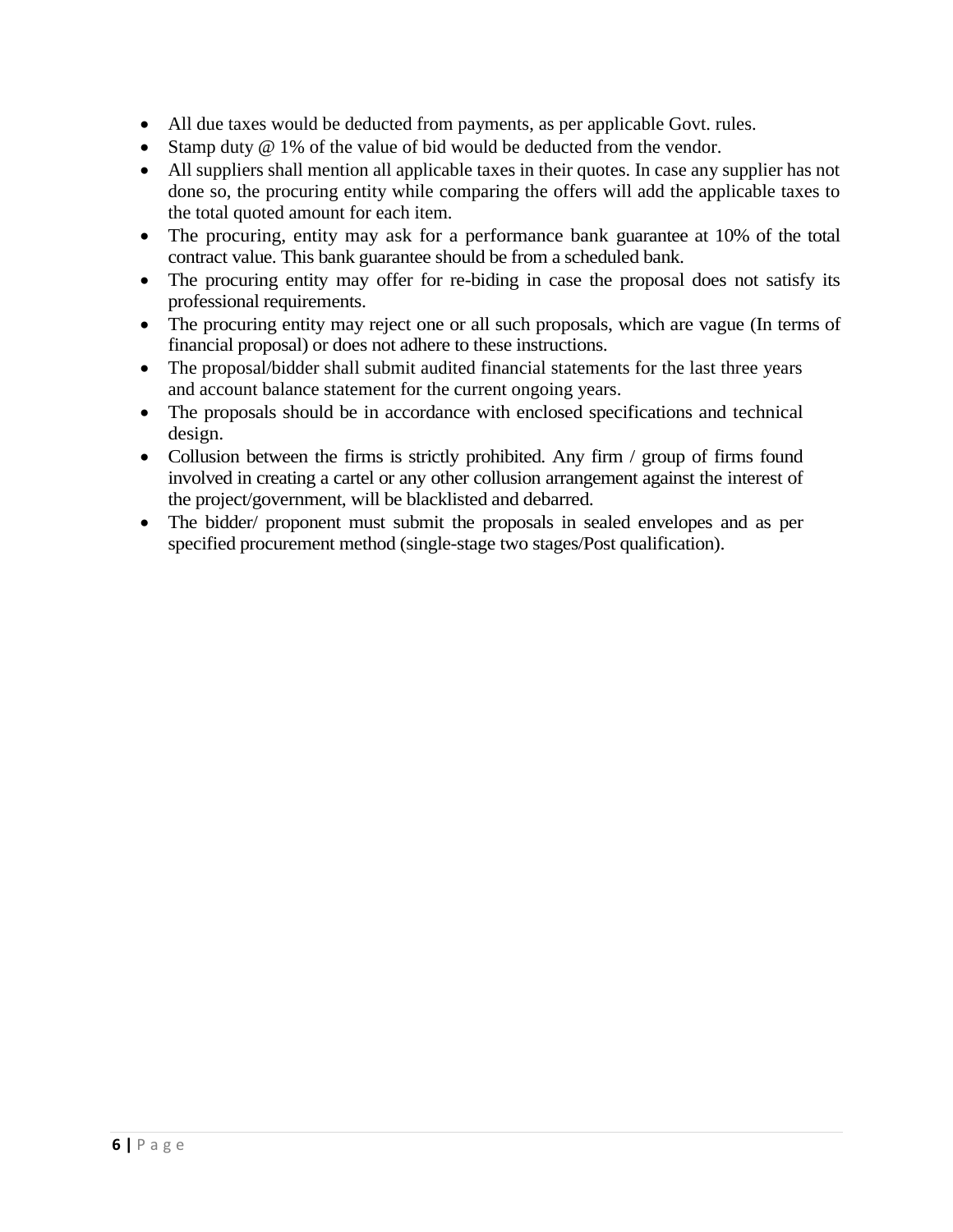- All due taxes would be deducted from payments, as per applicable Govt. rules.
- Stamp duty @ 1% of the value of bid would be deducted from the vendor.
- All suppliers shall mention all applicable taxes in their quotes. In case any supplier has not done so, the procuring entity while comparing the offers will add the applicable taxes to the total quoted amount for each item.
- The procuring, entity may ask for a performance bank guarantee at 10% of the total contract value. This bank guarantee should be from a scheduled bank.
- The procuring entity may offer for re-biding in case the proposal does not satisfy its professional requirements.
- The procuring entity may reject one or all such proposals, which are vague (In terms of financial proposal) or does not adhere to these instructions.
- The proposal/bidder shall submit audited financial statements for the last three years and account balance statement for the current ongoing years.
- The proposals should be in accordance with enclosed specifications and technical design.
- Collusion between the firms is strictly prohibited. Any firm / group of firms found involved in creating a cartel or any other collusion arrangement against the interest of the project/government, will be blacklisted and debarred.
- The bidder/ proponent must submit the proposals in sealed envelopes and as per specified procurement method (single-stage two stages/Post qualification).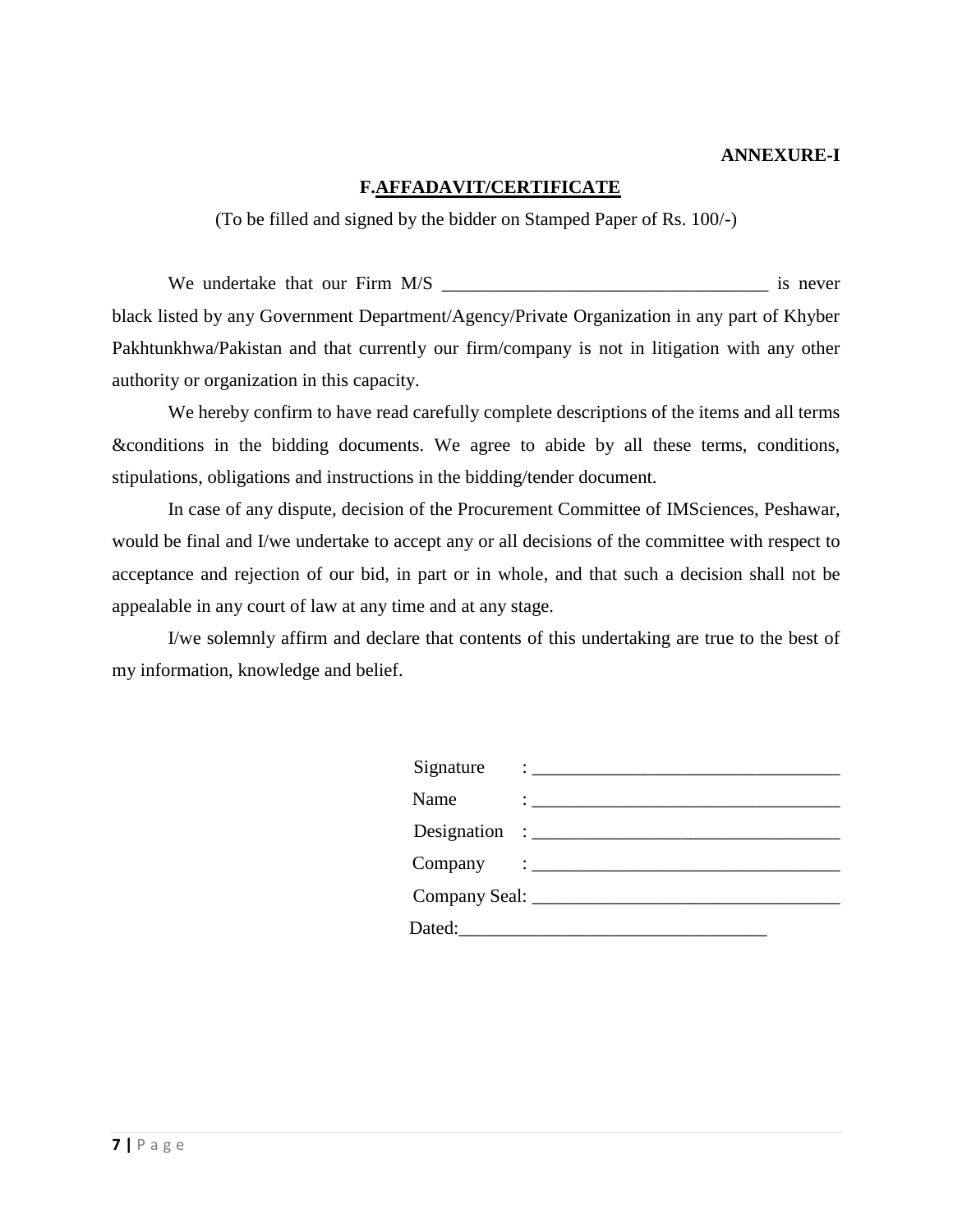#### **ANNEXURE-I**

### **F.AFFADAVIT/CERTIFICATE**

(To be filled and signed by the bidder on Stamped Paper of Rs. 100/-)

We undertake that our Firm M/S \_\_\_\_\_\_\_\_\_\_\_\_\_\_\_\_\_\_\_\_\_\_\_\_\_\_\_\_\_\_\_\_\_\_\_ is never black listed by any Government Department/Agency/Private Organization in any part of Khyber Pakhtunkhwa/Pakistan and that currently our firm/company is not in litigation with any other authority or organization in this capacity.

We hereby confirm to have read carefully complete descriptions of the items and all terms &conditions in the bidding documents. We agree to abide by all these terms, conditions, stipulations, obligations and instructions in the bidding/tender document.

In case of any dispute, decision of the Procurement Committee of IMSciences, Peshawar, would be final and I/we undertake to accept any or all decisions of the committee with respect to acceptance and rejection of our bid, in part or in whole, and that such a decision shall not be appealable in any court of law at any time and at any stage.

I/we solemnly affirm and declare that contents of this undertaking are true to the best of my information, knowledge and belief.

| Signature | $\vdots$                                                                                                                                                                                                                                        |
|-----------|-------------------------------------------------------------------------------------------------------------------------------------------------------------------------------------------------------------------------------------------------|
| Name      | $\mathcal{L}(\mathcal{L}^{\mathcal{L}})$ and the set of the set of the set of the set of the set of the set of the set of the set of the set of the set of the set of the set of the set of the set of the set of the set of the set of the set |
|           | Designation : $\frac{1}{\sqrt{1-\frac{1}{2}} \cdot \frac{1}{2}}$                                                                                                                                                                                |
|           | $Company : \_$                                                                                                                                                                                                                                  |
|           |                                                                                                                                                                                                                                                 |
| Dated:__  |                                                                                                                                                                                                                                                 |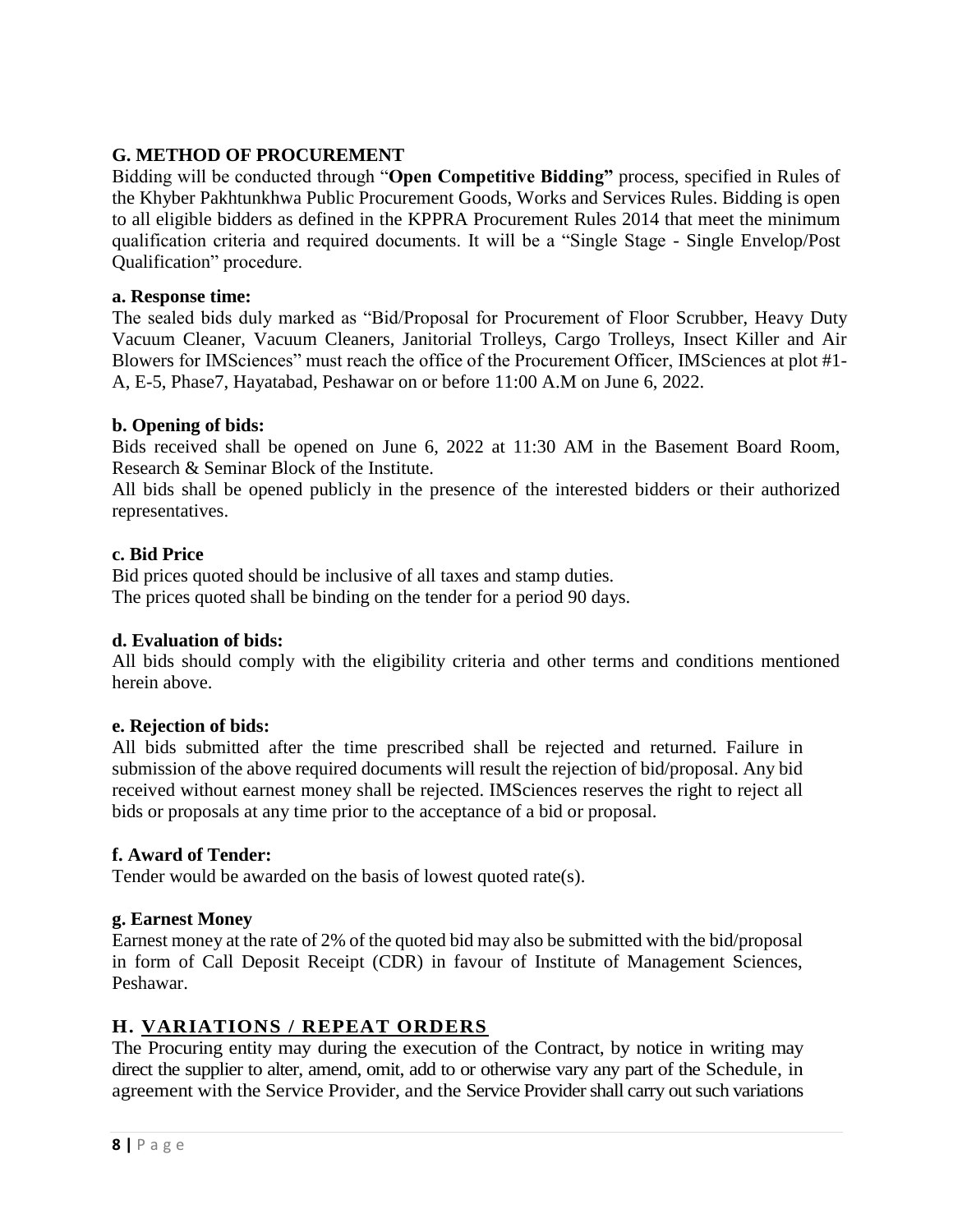# **G. METHOD OF PROCUREMENT**

Bidding will be conducted through "**Open Competitive Bidding"** process, specified in Rules of the Khyber Pakhtunkhwa Public Procurement Goods, Works and Services Rules. Bidding is open to all eligible bidders as defined in the KPPRA Procurement Rules 2014 that meet the minimum qualification criteria and required documents. It will be a "Single Stage - Single Envelop/Post Qualification" procedure.

#### **a. Response time:**

The sealed bids duly marked as "Bid/Proposal for Procurement of Floor Scrubber, Heavy Duty Vacuum Cleaner, Vacuum Cleaners, Janitorial Trolleys, Cargo Trolleys, Insect Killer and Air Blowers for IMSciences" must reach the office of the Procurement Officer, IMSciences at plot #1- A, E-5, Phase7, Hayatabad, Peshawar on or before 11:00 A.M on June 6, 2022.

### **b. Opening of bids:**

Bids received shall be opened on June 6, 2022 at 11:30 AM in the Basement Board Room, Research & Seminar Block of the Institute.

All bids shall be opened publicly in the presence of the interested bidders or their authorized representatives.

#### **c. Bid Price**

Bid prices quoted should be inclusive of all taxes and stamp duties. The prices quoted shall be binding on the tender for a period 90 days.

### **d. Evaluation of bids:**

All bids should comply with the eligibility criteria and other terms and conditions mentioned herein above.

#### **e. Rejection of bids:**

All bids submitted after the time prescribed shall be rejected and returned. Failure in submission of the above required documents will result the rejection of bid/proposal. Any bid received without earnest money shall be rejected. IMSciences reserves the right to reject all bids or proposals at any time prior to the acceptance of a bid or proposal.

### **f. Award of Tender:**

Tender would be awarded on the basis of lowest quoted rate(s).

### **g. Earnest Money**

Earnest money at the rate of 2% of the quoted bid may also be submitted with the bid/proposal in form of Call Deposit Receipt (CDR) in favour of Institute of Management Sciences, Peshawar.

### **H. VARIATIONS / REPEAT ORDERS**

The Procuring entity may during the execution of the Contract, by notice in writing may direct the supplier to alter, amend, omit, add to or otherwise vary any part of the Schedule, in agreement with the Service Provider, and the Service Provider shall carry out such variations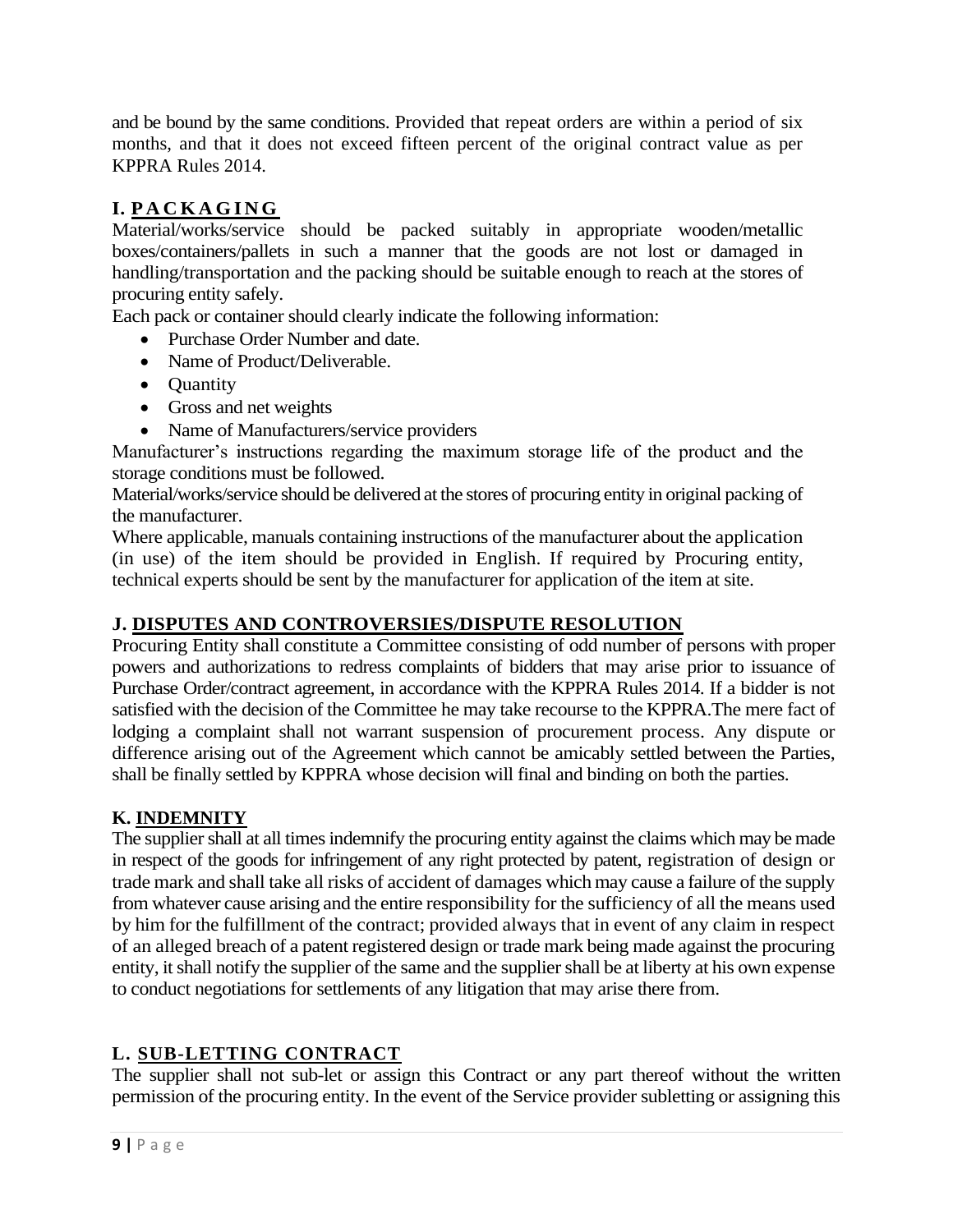and be bound by the same conditions. Provided that repeat orders are within a period of six months, and that it does not exceed fifteen percent of the original contract value as per KPPRA Rules 2014.

# **I. P A C K A G I N G**

Material/works/service should be packed suitably in appropriate wooden/metallic boxes/containers/pallets in such a manner that the goods are not lost or damaged in handling/transportation and the packing should be suitable enough to reach at the stores of procuring entity safely.

Each pack or container should clearly indicate the following information:

- Purchase Order Number and date.
- Name of Product/Deliverable.
- Quantity
- Gross and net weights
- Name of Manufacturers/service providers

Manufacturer's instructions regarding the maximum storage life of the product and the storage conditions must be followed.

Material/works/service should be delivered at the stores of procuring entity in original packing of the manufacturer.

Where applicable, manuals containing instructions of the manufacturer about the application (in use) of the item should be provided in English. If required by Procuring entity, technical experts should be sent by the manufacturer for application of the item at site.

### **J. DISPUTES AND CONTROVERSIES/DISPUTE RESOLUTION**

Procuring Entity shall constitute a Committee consisting of odd number of persons with proper powers and authorizations to redress complaints of bidders that may arise prior to issuance of Purchase Order/contract agreement, in accordance with the KPPRA Rules 2014. If a bidder is not satisfied with the decision of the Committee he may take recourse to the KPPRA.The mere fact of lodging a complaint shall not warrant suspension of procurement process. Any dispute or difference arising out of the Agreement which cannot be amicably settled between the Parties, shall be finally settled by KPPRA whose decision will final and binding on both the parties.

# **K. INDEMNITY**

The supplier shall at all times indemnify the procuring entity against the claims which may be made in respect of the goods for infringement of any right protected by patent, registration of design or trade mark and shall take all risks of accident of damages which may cause a failure of the supply from whatever cause arising and the entire responsibility for the sufficiency of all the means used by him for the fulfillment of the contract; provided always that in event of any claim in respect of an alleged breach of a patent registered design or trade mark being made against the procuring entity, it shall notify the supplier of the same and the supplier shall be at liberty at his own expense to conduct negotiations for settlements of any litigation that may arise there from.

# **L. SUB-LETTING CONTRACT**

The supplier shall not sub-let or assign this Contract or any part thereof without the written permission of the procuring entity. In the event of the Service provider subletting or assigning this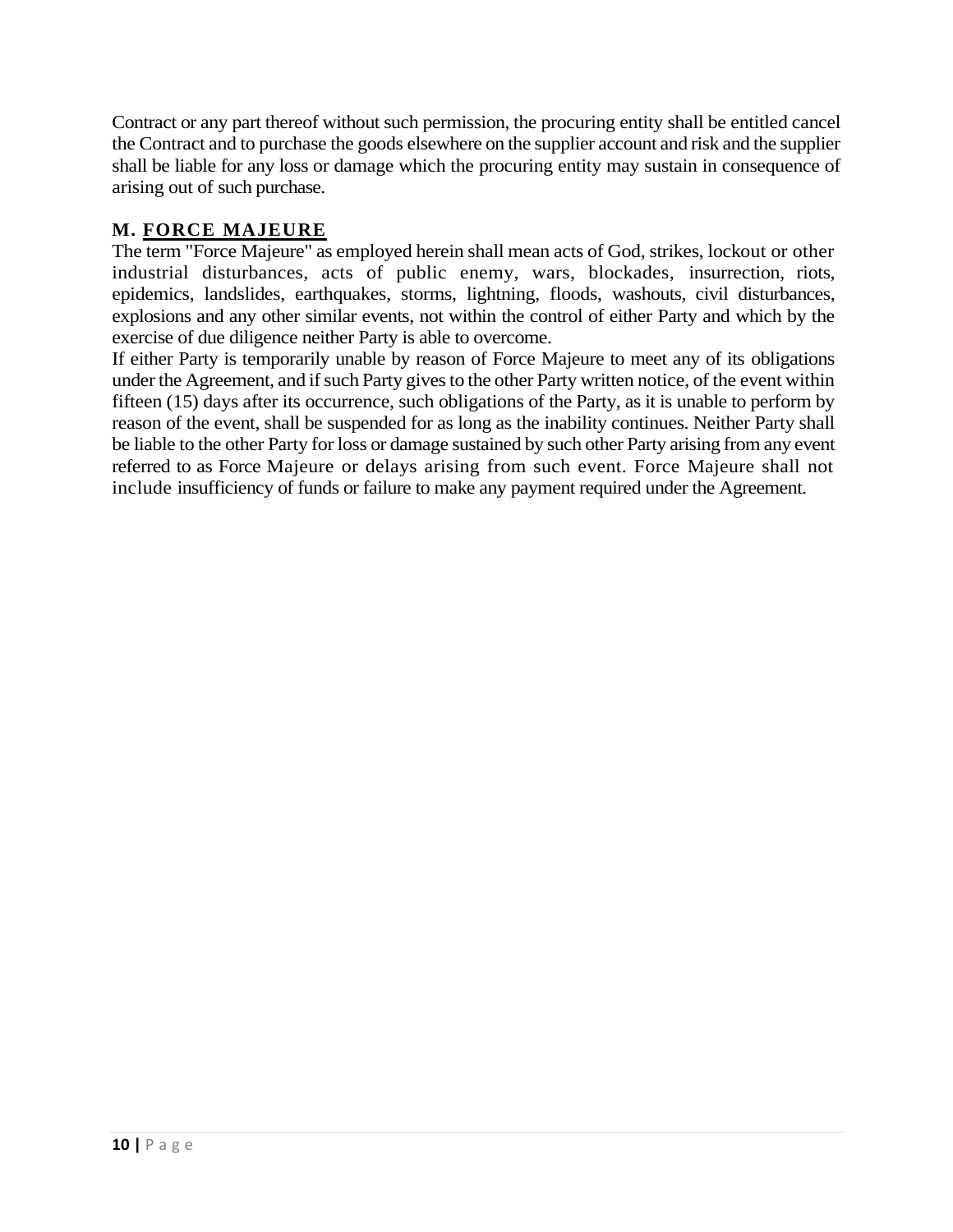Contract or any part thereof without such permission, the procuring entity shall be entitled cancel the Contract and to purchase the goods elsewhere on the supplier account and risk and the supplier shall be liable for any loss or damage which the procuring entity may sustain in consequence of arising out of such purchase.

# **M. FORCE MAJEURE**

The term "Force Majeure" as employed herein shall mean acts of God, strikes, lockout or other industrial disturbances, acts of public enemy, wars, blockades, insurrection, riots, epidemics, landslides, earthquakes, storms, lightning, floods, washouts, civil disturbances, explosions and any other similar events, not within the control of either Party and which by the exercise of due diligence neither Party is able to overcome.

If either Party is temporarily unable by reason of Force Majeure to meet any of its obligations under the Agreement, and if such Party gives to the other Party written notice, of the event within fifteen (15) days after its occurrence, such obligations of the Party, as it is unable to perform by reason of the event, shall be suspended for as long as the inability continues. Neither Party shall be liable to the other Party for loss or damage sustained by such other Party arising from any event referred to as Force Majeure or delays arising from such event. Force Majeure shall not include insufficiency of funds or failure to make any payment required under the Agreement.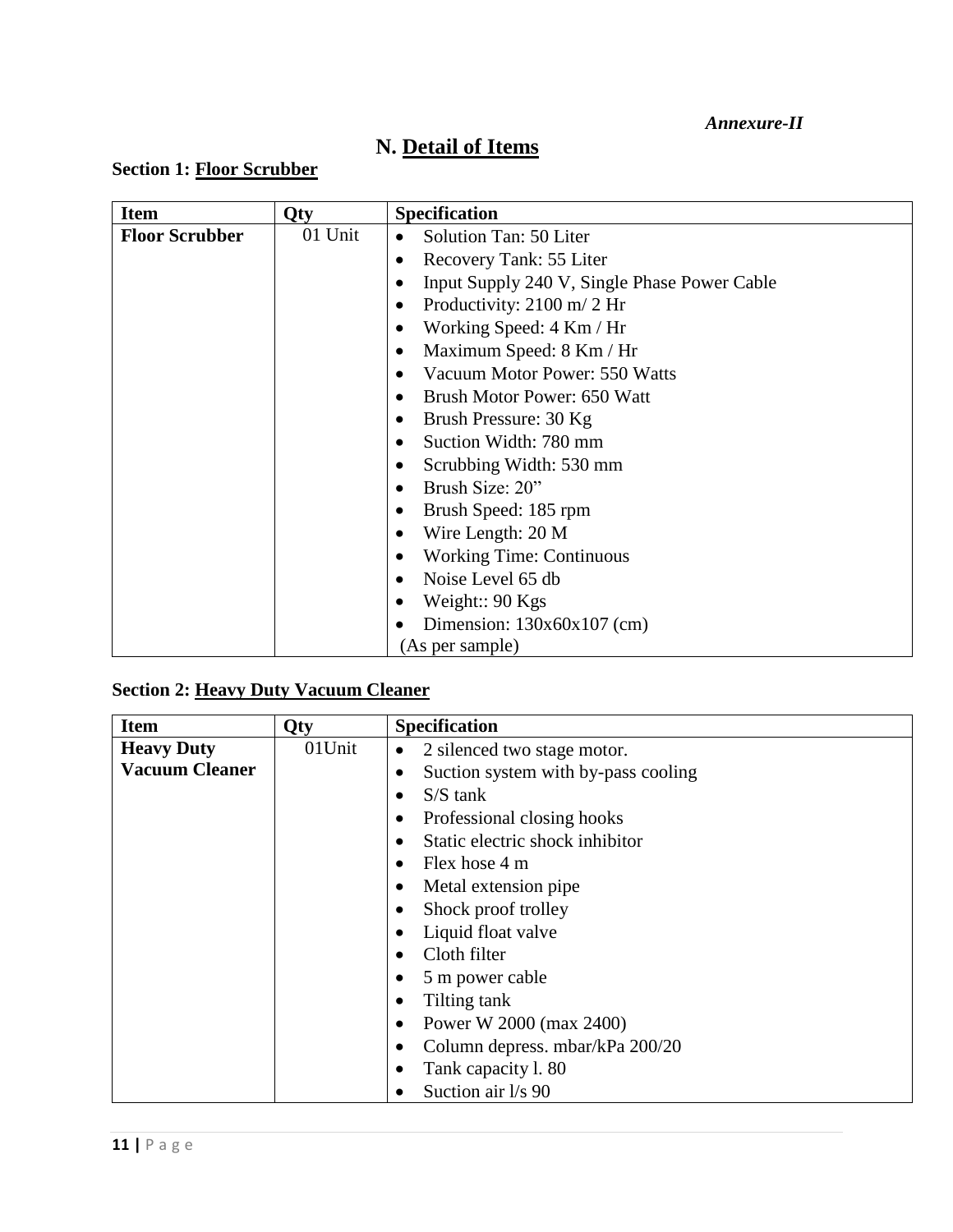*Annexure-II*

# **N. Detail of Items**

# **Section 1: Floor Scrubber**

| <b>Item</b>           | Qty     | <b>Specification</b>                         |
|-----------------------|---------|----------------------------------------------|
| <b>Floor Scrubber</b> | 01 Unit | Solution Tan: 50 Liter                       |
|                       |         | Recovery Tank: 55 Liter                      |
|                       |         | Input Supply 240 V, Single Phase Power Cable |
|                       |         | Productivity: 2100 m/ 2 Hr                   |
|                       |         | Working Speed: 4 Km / Hr                     |
|                       |         | Maximum Speed: 8 Km / Hr                     |
|                       |         | Vacuum Motor Power: 550 Watts                |
|                       |         | Brush Motor Power: 650 Watt                  |
|                       |         | Brush Pressure: 30 Kg                        |
|                       |         | Suction Width: 780 mm                        |
|                       |         | Scrubbing Width: 530 mm                      |
|                       |         | Brush Size: 20"                              |
|                       |         | Brush Speed: 185 rpm                         |
|                       |         | Wire Length: 20 M                            |
|                       |         | <b>Working Time: Continuous</b>              |
|                       |         | Noise Level 65 db                            |
|                       |         | Weight:: $90$ Kgs                            |
|                       |         | Dimension: $130x60x107$ (cm)                 |
|                       |         | (As per sample)                              |

# **Section 2: Heavy Duty Vacuum Cleaner**

| <b>Item</b>           | <b>Qty</b> | <b>Specification</b>                     |  |
|-----------------------|------------|------------------------------------------|--|
| <b>Heavy Duty</b>     | 01Unit     | 2 silenced two stage motor.<br>$\bullet$ |  |
| <b>Vacuum Cleaner</b> |            | Suction system with by-pass cooling      |  |
|                       |            | $S/S$ tank                               |  |
|                       |            | Professional closing hooks               |  |
|                       |            | Static electric shock inhibitor          |  |
|                       |            | Flex hose 4 m                            |  |
|                       |            | Metal extension pipe                     |  |
|                       |            | Shock proof trolley                      |  |
|                       |            | Liquid float valve                       |  |
|                       |            | Cloth filter                             |  |
|                       |            | 5 m power cable                          |  |
|                       |            | Tilting tank                             |  |
|                       |            | Power W 2000 (max 2400)                  |  |
|                       |            | Column depress. mbar/kPa 200/20          |  |
|                       |            | Tank capacity 1.80                       |  |
|                       |            | Suction air l/s 90                       |  |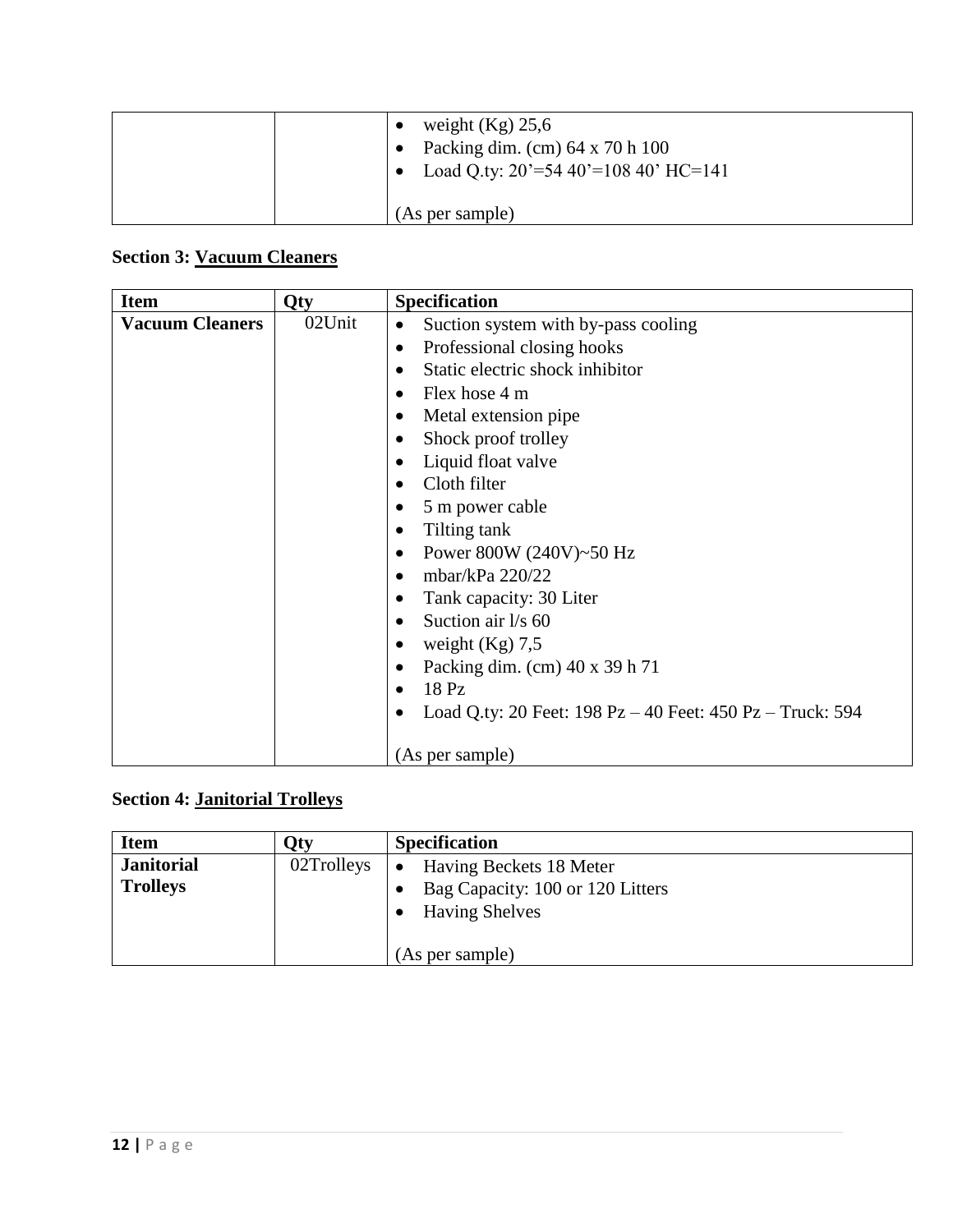| weight $(Kg)$ 25,6<br>Packing dim. (cm) 64 x 70 h 100<br>Load Q.ty: $20' = 5440' = 10840'$ HC=141 |
|---------------------------------------------------------------------------------------------------|
| (As per sample)                                                                                   |

# **Section 3: Vacuum Cleaners**

| <b>Item</b>            | Qty    | <b>Specification</b>                                                                           |  |
|------------------------|--------|------------------------------------------------------------------------------------------------|--|
| <b>Vacuum Cleaners</b> | 02Unit | Suction system with by-pass cooling                                                            |  |
|                        |        | Professional closing hooks<br>$\bullet$                                                        |  |
|                        |        | Static electric shock inhibitor                                                                |  |
|                        |        | Flex hose 4 m<br>$\bullet$                                                                     |  |
|                        |        | Metal extension pipe                                                                           |  |
|                        |        | Shock proof trolley<br>٠                                                                       |  |
|                        |        | Liquid float valve                                                                             |  |
|                        |        | Cloth filter                                                                                   |  |
|                        |        | 5 m power cable                                                                                |  |
|                        |        | Tilting tank                                                                                   |  |
|                        |        | Power 800W (240V)~50 Hz                                                                        |  |
|                        |        | mbar/kPa 220/22                                                                                |  |
|                        |        | Tank capacity: 30 Liter                                                                        |  |
|                        |        | Suction air l/s 60                                                                             |  |
|                        |        | weight $(Kg)$ 7,5                                                                              |  |
|                        |        | Packing dim. (cm) 40 x 39 h 71                                                                 |  |
|                        |        | 18 Pz                                                                                          |  |
|                        |        | Load Q.ty: 20 Feet: $198 \text{ Pz} - 40 \text{ Fe}$ et: $450 \text{ Pz} - \text{Truck}$ : 594 |  |
|                        |        |                                                                                                |  |
|                        |        | (As per sample)                                                                                |  |

# **Section 4: Janitorial Trolleys**

| <b>Item</b>                          | )tv        | <b>Specification</b>                                                                              |
|--------------------------------------|------------|---------------------------------------------------------------------------------------------------|
| <b>Janitorial</b><br><b>Trolleys</b> | 02Trolleys | Having Beckets 18 Meter<br>$\bullet$<br>Bag Capacity: 100 or 120 Litters<br><b>Having Shelves</b> |
|                                      |            | (As per sample)                                                                                   |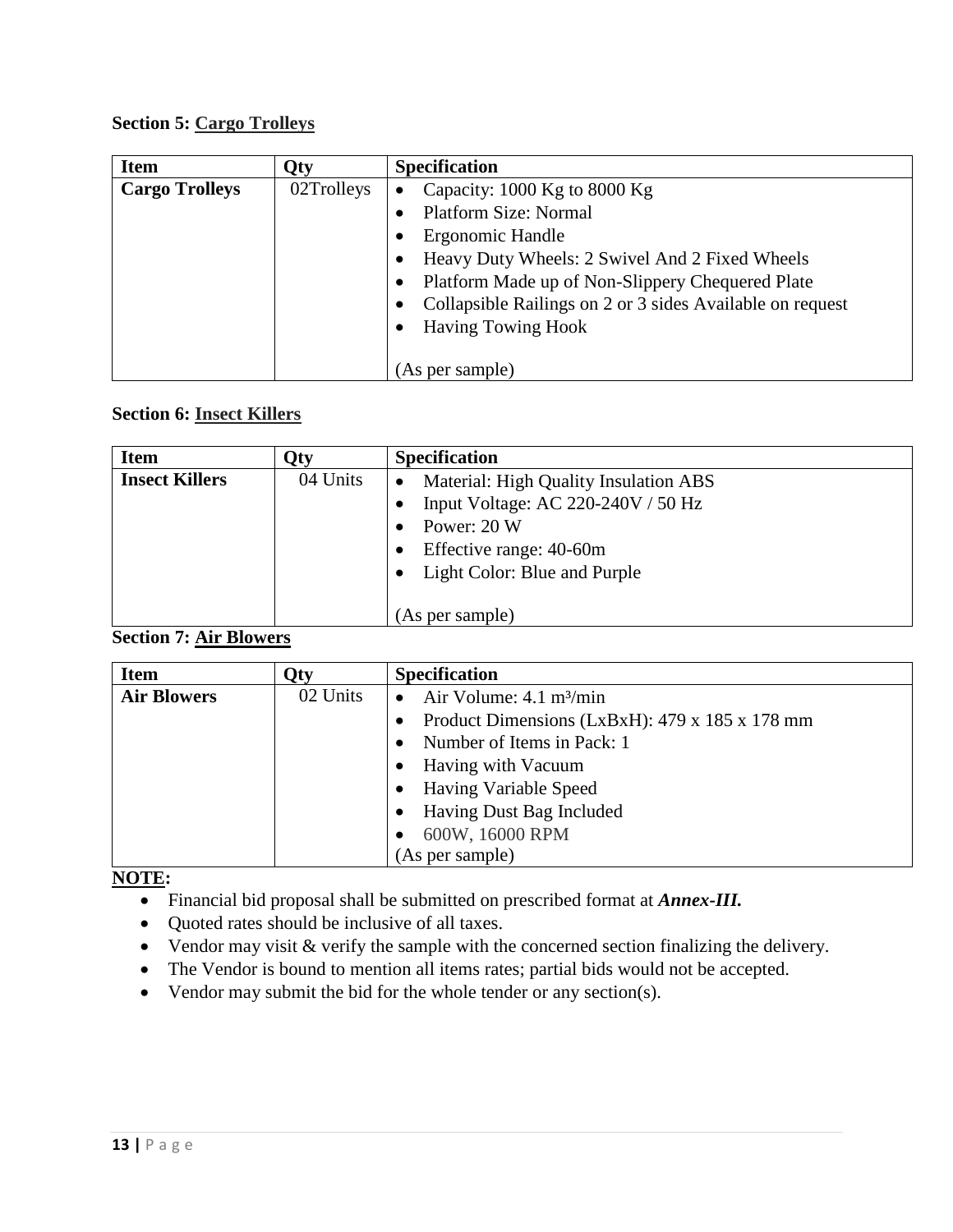### **Section 5: Cargo Trolleys**

| <b>Item</b>           | <b>Qty</b> | <b>Specification</b>                                      |
|-----------------------|------------|-----------------------------------------------------------|
| <b>Cargo Trolleys</b> | 02Trolleys | Capacity: $1000$ Kg to $8000$ Kg                          |
|                       |            | <b>Platform Size: Normal</b>                              |
|                       |            | Ergonomic Handle                                          |
|                       |            | Heavy Duty Wheels: 2 Swivel And 2 Fixed Wheels            |
|                       |            | Platform Made up of Non-Slippery Chequered Plate          |
|                       |            | Collapsible Railings on 2 or 3 sides Available on request |
|                       |            | <b>Having Towing Hook</b>                                 |
|                       |            |                                                           |
|                       |            | (As per sample)                                           |

# **Section 6: Insect Killers**

| <b>Item</b>           | )tv      | <b>Specification</b>                                                                                    |
|-----------------------|----------|---------------------------------------------------------------------------------------------------------|
| <b>Insect Killers</b> | 04 Units | Material: High Quality Insulation ABS<br>$\bullet$<br>Input Voltage: AC 220-240V / 50 Hz<br>Power: 20 W |
|                       |          | Effective range: 40-60m<br>Light Color: Blue and Purple<br>(As per sample)                              |

### **Section 7: Air Blowers**

| <b>Item</b>        | Qty      | <b>Specification</b>                           |  |
|--------------------|----------|------------------------------------------------|--|
| <b>Air Blowers</b> | 02 Units | Air Volume: 4.1 m <sup>3</sup> /min            |  |
|                    |          | Product Dimensions (LxBxH): 479 x 185 x 178 mm |  |
|                    |          | Number of Items in Pack: 1                     |  |
|                    |          | Having with Vacuum                             |  |
|                    |          | <b>Having Variable Speed</b>                   |  |
|                    |          | Having Dust Bag Included                       |  |
|                    |          | 600W, 16000 RPM                                |  |
|                    |          | (As per sample)                                |  |

# **NOTE:**

- Financial bid proposal shall be submitted on prescribed format at *Annex-III.*
- Quoted rates should be inclusive of all taxes.
- Vendor may visit & verify the sample with the concerned section finalizing the delivery.
- The Vendor is bound to mention all items rates; partial bids would not be accepted.
- Vendor may submit the bid for the whole tender or any section(s).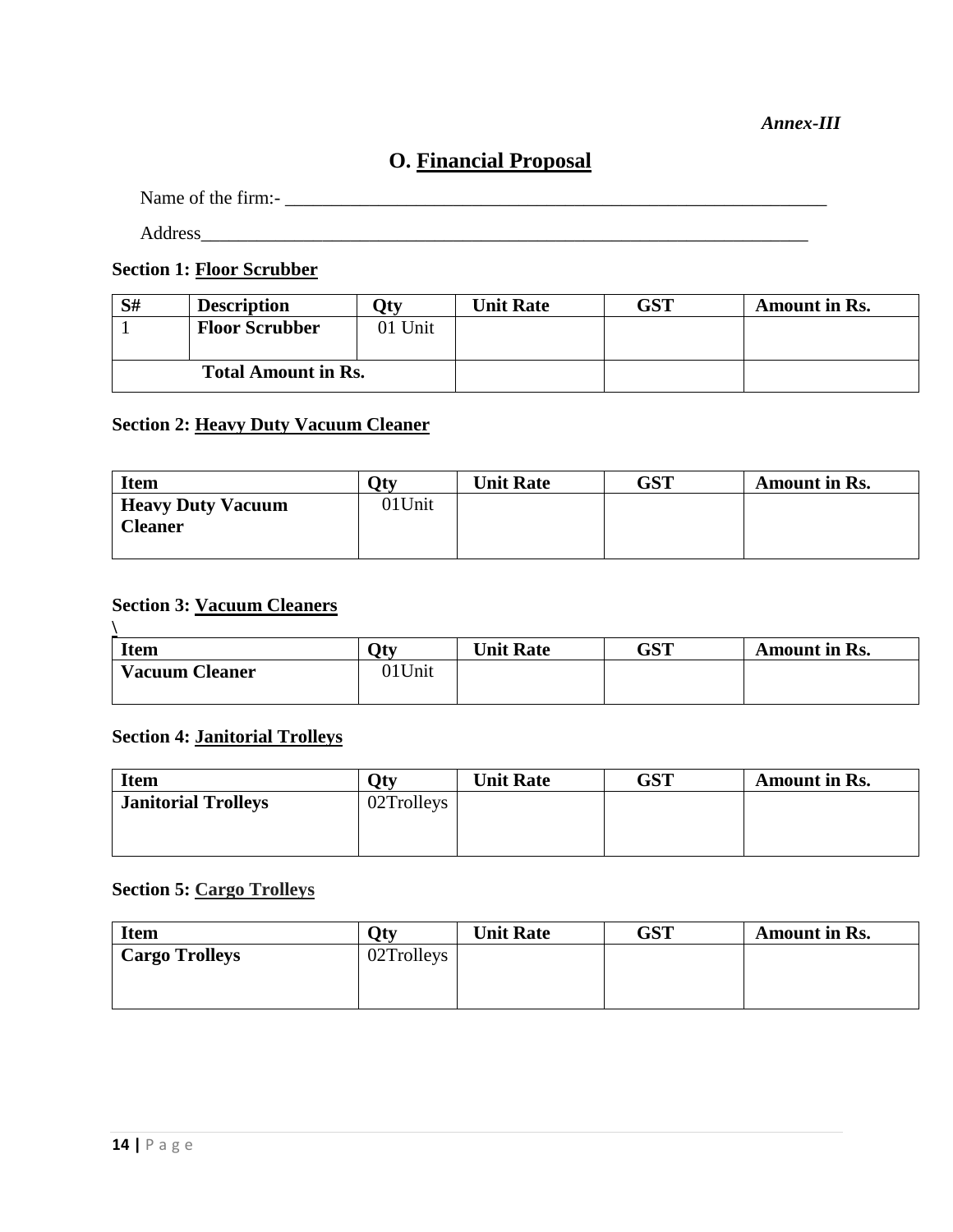#### *Annex-III*

# **O. Financial Proposal**

Name of the firm:- \_\_\_\_\_\_\_\_\_\_\_\_\_\_\_\_\_\_\_\_\_\_\_\_\_\_\_\_\_\_\_\_\_\_\_\_\_\_\_\_\_\_\_\_\_\_\_\_\_\_\_\_\_\_\_\_\_\_

Address

**Section 1: Floor Scrubber**

| S#                         | <b>Description</b>    | 7tv     | <b>Unit Rate</b> | GST | <b>Amount in Rs.</b> |
|----------------------------|-----------------------|---------|------------------|-----|----------------------|
|                            | <b>Floor Scrubber</b> | 01 Unit |                  |     |                      |
|                            |                       |         |                  |     |                      |
| <b>Total Amount in Rs.</b> |                       |         |                  |     |                      |

### **Section 2: Heavy Duty Vacuum Cleaner**

| <b>Item</b>                                | <b>N</b> tv | <b>Unit Rate</b> | GST | Amount in Rs. |
|--------------------------------------------|-------------|------------------|-----|---------------|
| <b>Heavy Duty Vacuum</b><br><b>Cleaner</b> | 01Unit      |                  |     |               |
|                                            |             |                  |     |               |

#### **Section 3: Vacuum Cleaners**

| <b>Item</b>           | $\gamma_{\text{tv}}$ | <b>Unit Rate</b> | GST | Amount in Rs. |
|-----------------------|----------------------|------------------|-----|---------------|
| <b>Vacuum Cleaner</b> | 01Unit               |                  |     |               |

#### **Section 4: Janitorial Trolleys**

| <b>Item</b>                | $\gamma_{\text{tv}}$ | <b>Unit Rate</b> | GST | Amount in Rs. |
|----------------------------|----------------------|------------------|-----|---------------|
| <b>Janitorial Trolleys</b> | 02Trolleys           |                  |     |               |
|                            |                      |                  |     |               |
|                            |                      |                  |     |               |

# **Section 5: Cargo Trolleys**

| <b>Item</b>           | $\Omega$ tv | <b>Unit Rate</b> | GST | <b>Amount in Rs.</b> |
|-----------------------|-------------|------------------|-----|----------------------|
| <b>Cargo Trolleys</b> | 02Trolleys  |                  |     |                      |
|                       |             |                  |     |                      |
|                       |             |                  |     |                      |